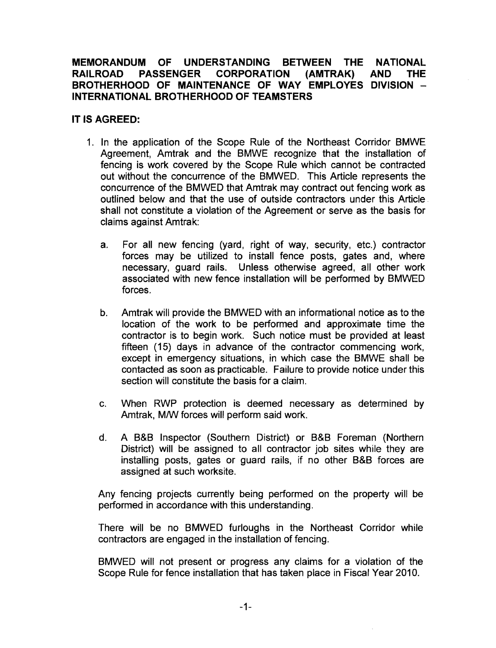## **MEMORANDUM OF UNDERSTANDING BETWEEN THE NATIONAL RAILROAD PASSENGER CORPORATION (AMTRAK) AND THE BROTHERHOOD OF MAINTENANCE OF WAY EMPLOYES DIVISION** - **INTERNATIONAL BROTHERHOOD OF TEAMSTERS**

## **IT IS AGREED:**

- 1. In the application of the Scope Rule of the Northeast Corridor BMWE Agreement, Amtrak and the BMWE recognize that the installation of fencing is work covered by the Scope Rule which cannot be contracted out without the concurrence of the BMWED. This Article represents the concurrence of the BMWED that Amtrak may contract out fencing work as outlined below and that the use of outside contractors under this Article. shall not constitute a violation of the Agreement or serve as the basis for claims against Amtrak:
	- a. For all new fencing (yard, right of way, security, etc.) contractor forces may be utilized to install fence posts, gates and, where necessary, guard rails. Unless otherwise agreed, all other work associated with new fence installation will be performed by BMWED forces.
	- b. Amtrak will provide the BMWED with an informational notice as to the location of the work to be performed and approximate time the contractor is to begin work. Such notice must be provided at least fifteen (15) days in advance of the contractor commencing work, except in emergency situations, in which case the BMWE shall be contacted as soon as practicable. Failure to provide notice under this section will constitute the basis for a claim.
	- c. When RWP protection is deemed necessary as determined by Amtrak, M/W forces will perform said work.
	- d. A B&B Inspector (Southern District) or B&B Foreman (Northern District) will be assigned to all contractor job sites while they are installing posts, gates or guard rails, if no other B&B forces are assigned at such worksite.

Any fencing projects currently being performed on the property will be performed in accordance with this understanding.

There will be no BMWED furloughs in the Northeast Corridor while contractors are engaged in the installation of fencing.

BMWED will not present or progress any claims for a violation of the Scope Rule for fence installation that has taken place in Fiscal Year 2010.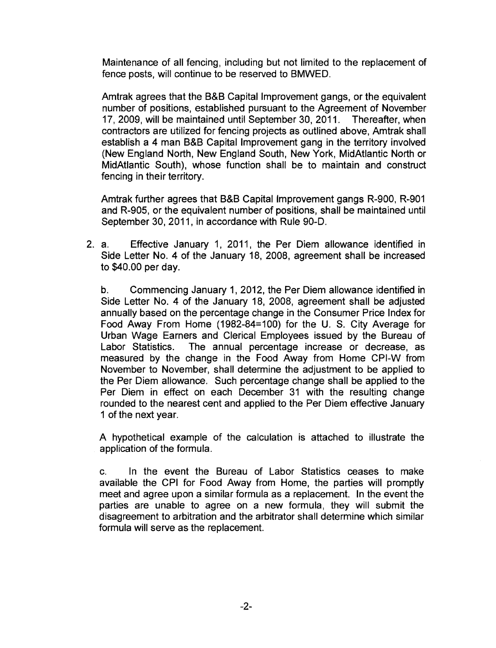Maintenance of all fencing, including but not limited to the replacement of fence posts, will continue to be reserved to BMWED.

Amtrak agrees that the B&B Capital Improvement gangs, or the equivalent number of positions, established pursuant to the Agreement of November 17, 2009, will be maintained until September 30, 2011. Thereafter, when contractors are utilized for fencing projects as outlined above, Amtrak shall establish a 4 man B&B Capital Improvement gang in the territory involved (New England North, New England South, New York, MidAtlantic North or MidAtlantic South), whose function shall be to maintain and construct fencing in their territory.

Amtrak further agrees that B&B Capital Improvement gangs R-900, R~901 and R-905, or the equivalent number of positions, shall be maintained until September 30,2011, in accordance with Rule 90-D.

2. a. Effective January 1, 2011, the Per Diem allowance identified in Side Letter No. 4 of the January 18, 2008, agreement shall be increased to \$40.00 per day.

b. Commencing January 1, 2012, the Per Diem allowance identified in Side Letter No. 4 of the January 18, 2008, agreement shall be adjusted annually based on the percentage change in the Consumer Price Index for Food Away From Home (1982-84=100) for the U. S. City Average for Urban Wage Earners and Clerical Employees issued by the Bureau of Labor Statistics. The annual percentage increase or decrease, as measured by the change in the Food Away from Home CPI-W from November to November, shall determine the adjustment to be applied to the Per Diem allowance. Such percentage change shall be applied to the Per Diem in effect on each December 31 with the resulting change rounded to the nearest cent and applied to the Per Diem effective January 1 of the next year.

A hypothetical example of the calculation is attached to illustrate the application of the formula.

c. In the event the Bureau of Labor Statistics ceases to make available the CPI for Food Away from Home, the parties will promptly meet and agree upon a similar formula as a replacement. In the event the parties are unable to agree on a new formula, they will submit the disagreement to arbitration and the arbitrator shall determine which similar formula will serve as the replacement.